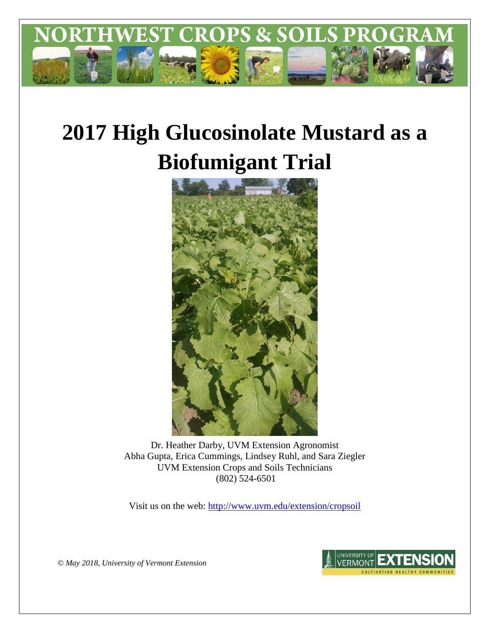

# **2017 High Glucosinolate Mustard as a Biofumigant Trial**



Dr. Heather Darby, UVM Extension Agronomist Abha Gupta, Erica Cummings, Lindsey Ruhl, and Sara Ziegler UVM Extension Crops and Soils Technicians (802) 524-6501

Visit us on the web:<http://www.uvm.edu/extension/cropsoil>



*© May 2018, University of Vermont Extension*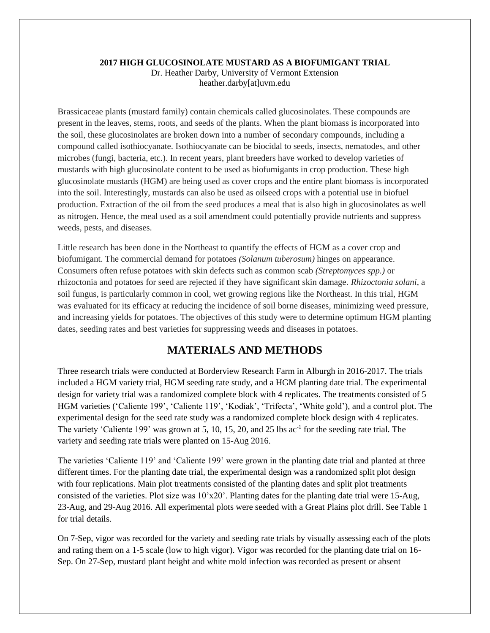## **2017 HIGH GLUCOSINOLATE MUSTARD AS A BIOFUMIGANT TRIAL**

Dr. Heather Darby, University of Vermont Extension heather.darby[at]uvm.edu

Brassicaceae plants (mustard family) contain chemicals called glucosinolates. These compounds are present in the leaves, stems, roots, and seeds of the plants. When the plant biomass is incorporated into the soil, these glucosinolates are broken down into a number of secondary compounds, including a compound called isothiocyanate. Isothiocyanate can be biocidal to seeds, insects, nematodes, and other microbes (fungi, bacteria, etc.). In recent years, plant breeders have worked to develop varieties of mustards with high glucosinolate content to be used as biofumigants in crop production. These high glucosinolate mustards (HGM) are being used as cover crops and the entire plant biomass is incorporated into the soil. Interestingly, mustards can also be used as oilseed crops with a potential use in biofuel production. Extraction of the oil from the seed produces a meal that is also high in glucosinolates as well as nitrogen. Hence, the meal used as a soil amendment could potentially provide nutrients and suppress weeds, pests, and diseases.

Little research has been done in the Northeast to quantify the effects of HGM as a cover crop and biofumigant. The commercial demand for potatoes *(Solanum tuberosum)* hinges on appearance. Consumers often refuse potatoes with skin defects such as common scab *(Streptomyces spp.)* or rhizoctonia and potatoes for seed are rejected if they have significant skin damage. *Rhizoctonia solani*, a soil fungus, is particularly common in cool, wet growing regions like the Northeast. In this trial, HGM was evaluated for its efficacy at reducing the incidence of soil borne diseases, minimizing weed pressure, and increasing yields for potatoes. The objectives of this study were to determine optimum HGM planting dates, seeding rates and best varieties for suppressing weeds and diseases in potatoes.

# **MATERIALS AND METHODS**

Three research trials were conducted at Borderview Research Farm in Alburgh in 2016-2017. The trials included a HGM variety trial, HGM seeding rate study, and a HGM planting date trial. The experimental design for variety trial was a randomized complete block with 4 replicates. The treatments consisted of 5 HGM varieties ('Caliente 199', 'Caliente 119', 'Kodiak', 'Trifecta', 'White gold'), and a control plot. The experimental design for the seed rate study was a randomized complete block design with 4 replicates. The variety 'Caliente 199' was grown at 5, 10, 15, 20, and 25 lbs ac<sup>-1</sup> for the seeding rate trial. The variety and seeding rate trials were planted on 15-Aug 2016.

The varieties 'Caliente 119' and 'Caliente 199' were grown in the planting date trial and planted at three different times. For the planting date trial, the experimental design was a randomized split plot design with four replications. Main plot treatments consisted of the planting dates and split plot treatments consisted of the varieties. Plot size was 10'x20'. Planting dates for the planting date trial were 15-Aug, 23-Aug, and 29-Aug 2016. All experimental plots were seeded with a Great Plains plot drill. See Table 1 for trial details.

On 7-Sep, vigor was recorded for the variety and seeding rate trials by visually assessing each of the plots and rating them on a 1-5 scale (low to high vigor). Vigor was recorded for the planting date trial on 16- Sep. On 27-Sep, mustard plant height and white mold infection was recorded as present or absent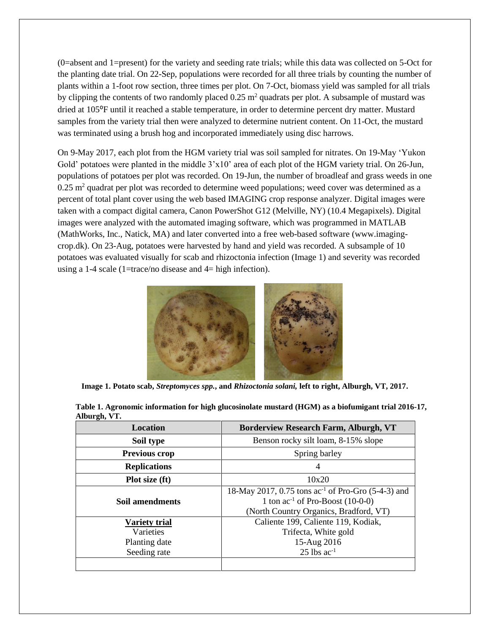(0=absent and 1=present) for the variety and seeding rate trials; while this data was collected on 5-Oct for the planting date trial. On 22-Sep, populations were recorded for all three trials by counting the number of plants within a 1-foot row section, three times per plot. On 7-Oct, biomass yield was sampled for all trials by clipping the contents of two randomly placed 0.25 m<sup>2</sup> quadrats per plot. A subsample of mustard was dried at 105⁰F until it reached a stable temperature, in order to determine percent dry matter. Mustard samples from the variety trial then were analyzed to determine nutrient content. On 11-Oct, the mustard was terminated using a brush hog and incorporated immediately using disc harrows.

On 9-May 2017, each plot from the HGM variety trial was soil sampled for nitrates. On 19-May 'Yukon Gold' potatoes were planted in the middle  $3'x10'$  area of each plot of the HGM variety trial. On 26-Jun, populations of potatoes per plot was recorded. On 19-Jun, the number of broadleaf and grass weeds in one  $0.25$  m<sup>2</sup> quadrat per plot was recorded to determine weed populations; weed cover was determined as a percent of total plant cover using the web based IMAGING crop response analyzer. Digital images were taken with a compact digital camera, Canon PowerShot G12 (Melville, NY) (10.4 Megapixels). Digital images were analyzed with the automated imaging software, which was programmed in MATLAB (MathWorks, Inc., Natick, MA) and later converted into a free web-based software [\(www.imaging](http://www.imaging-crop.dk/)[crop.dk\)](http://www.imaging-crop.dk/). On 23-Aug, potatoes were harvested by hand and yield was recorded. A subsample of 10 potatoes was evaluated visually for scab and rhizoctonia infection (Image 1) and severity was recorded using a 1-4 scale (1=trace/no disease and 4= high infection).



**Image 1. Potato scab,** *Streptomyces spp.***, and** *Rhizoctonia solani,* **left to right, Alburgh, VT, 2017.** 

| Location                                                           | <b>Borderview Research Farm, Alburgh, VT</b>                                                                                               |
|--------------------------------------------------------------------|--------------------------------------------------------------------------------------------------------------------------------------------|
| Soil type                                                          | Benson rocky silt loam, 8-15% slope                                                                                                        |
| <b>Previous crop</b>                                               | Spring barley                                                                                                                              |
| <b>Replications</b>                                                |                                                                                                                                            |
| Plot size (ft)                                                     | 10x20                                                                                                                                      |
| Soil amendments                                                    | 18-May 2017, 0.75 tons $ac^{-1}$ of Pro-Gro (5-4-3) and<br>1 ton $ac^{-1}$ of Pro-Boost (10-0-0)<br>(North Country Organics, Bradford, VT) |
| <b>Variety trial</b><br>Varieties<br>Planting date<br>Seeding rate | Caliente 199, Caliente 119, Kodiak,<br>Trifecta, White gold<br>15-Aug 2016<br>$25$ lbs ac <sup>-1</sup>                                    |

|              | Table 1. Agronomic information for high glucosinolate mustard (HGM) as a biofumigant trial 2016-17, |  |  |  |
|--------------|-----------------------------------------------------------------------------------------------------|--|--|--|
| Alburgh, VT. |                                                                                                     |  |  |  |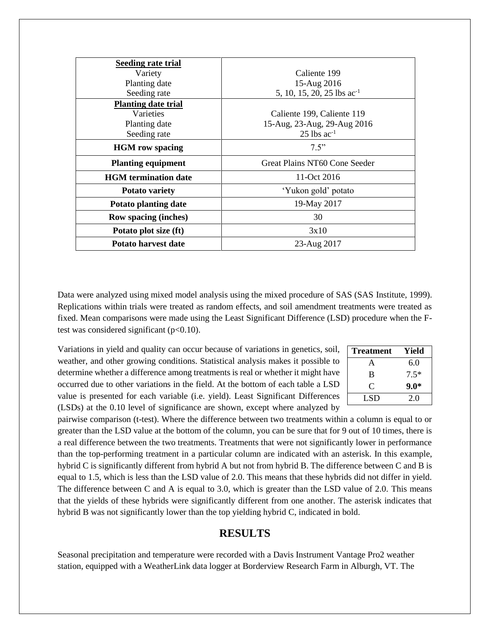| Seeding rate trial          |                                        |
|-----------------------------|----------------------------------------|
| Variety                     | Caliente 199                           |
| Planting date               | 15-Aug 2016                            |
| Seeding rate                | 5, 10, 15, 20, 25 lbs ac <sup>-1</sup> |
| <b>Planting date trial</b>  |                                        |
| Varieties                   | Caliente 199, Caliente 119             |
| Planting date               | 15-Aug, 23-Aug, 29-Aug 2016            |
| Seeding rate                | $25$ lbs ac <sup>-1</sup>              |
| <b>HGM</b> row spacing      | 7.5"                                   |
| <b>Planting equipment</b>   | Great Plains NT60 Cone Seeder          |
| <b>HGM</b> termination date | 11-Oct 2016                            |
| <b>Potato variety</b>       | 'Yukon gold' potato                    |
| <b>Potato planting date</b> | 19-May 2017                            |
| <b>Row spacing (inches)</b> | 30                                     |
| Potato plot size (ft)       | 3x10                                   |
| Potato harvest date         | 23-Aug 2017                            |

Data were analyzed using mixed model analysis using the mixed procedure of SAS (SAS Institute, 1999). Replications within trials were treated as random effects, and soil amendment treatments were treated as fixed. Mean comparisons were made using the Least Significant Difference (LSD) procedure when the Ftest was considered significant  $(p<0.10)$ .

Variations in yield and quality can occur because of variations in genetics, soil, weather, and other growing conditions. Statistical analysis makes it possible to determine whether a difference among treatments is real or whether it might have occurred due to other variations in the field. At the bottom of each table a LSD value is presented for each variable (i.e. yield). Least Significant Differences (LSDs) at the 0.10 level of significance are shown, except where analyzed by

| <b>Treatment</b> | Yield  |
|------------------|--------|
| А                | 6.0    |
| B                | $7.5*$ |
| C                | $9.0*$ |
| LSD.             | 20     |

pairwise comparison (t-test). Where the difference between two treatments within a column is equal to or greater than the LSD value at the bottom of the column, you can be sure that for 9 out of 10 times, there is a real difference between the two treatments. Treatments that were not significantly lower in performance than the top-performing treatment in a particular column are indicated with an asterisk. In this example, hybrid C is significantly different from hybrid A but not from hybrid B. The difference between C and B is equal to 1.5, which is less than the LSD value of 2.0. This means that these hybrids did not differ in yield. The difference between C and A is equal to 3.0, which is greater than the LSD value of 2.0. This means that the yields of these hybrids were significantly different from one another. The asterisk indicates that hybrid B was not significantly lower than the top yielding hybrid C, indicated in bold.

## **RESULTS**

Seasonal precipitation and temperature were recorded with a Davis Instrument Vantage Pro2 weather station, equipped with a WeatherLink data logger at Borderview Research Farm in Alburgh, VT. The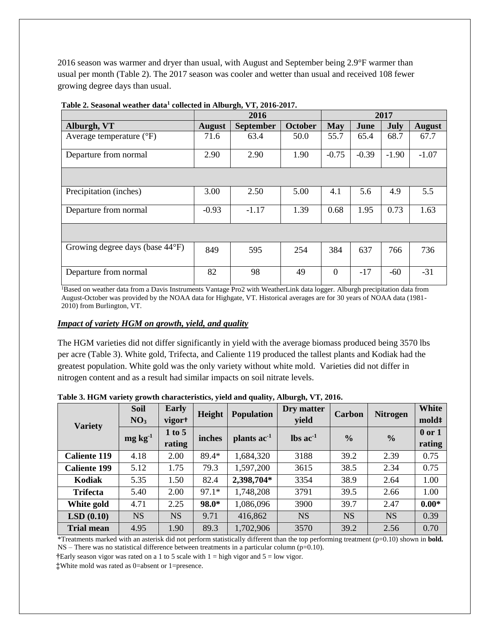2016 season was warmer and dryer than usual, with August and September being 2.9°F warmer than usual per month (Table 2). The 2017 season was cooler and wetter than usual and received 108 fewer growing degree days than usual.

|                                   |               | 2016             |                | 2017           |         |         |               |
|-----------------------------------|---------------|------------------|----------------|----------------|---------|---------|---------------|
| Alburgh, VT                       | <b>August</b> | <b>September</b> | <b>October</b> | <b>May</b>     | June    | July    | <b>August</b> |
| Average temperature $(^{\circ}F)$ | 71.6          | 63.4             | 50.0           | 55.7           | 65.4    | 68.7    | 67.7          |
| Departure from normal             | 2.90          | 2.90             | 1.90           | $-0.75$        | $-0.39$ | $-1.90$ | $-1.07$       |
|                                   |               |                  |                |                |         |         |               |
| Precipitation (inches)            | 3.00          | 2.50             | 5.00           | 4.1            | 5.6     | 4.9     | 5.5           |
| Departure from normal             | $-0.93$       | $-1.17$          | 1.39           | 0.68           | 1.95    | 0.73    | 1.63          |
|                                   |               |                  |                |                |         |         |               |
| Growing degree days (base 44°F)   | 849           | 595              | 254            | 384            | 637     | 766     | 736           |
| Departure from normal             | 82            | 98               | 49             | $\overline{0}$ | $-17$   | $-60$   | $-31$         |

**Table 2. Seasonal weather data<sup>1</sup> collected in Alburgh, VT, 2016-2017.**

<sup>1</sup>Based on weather data from a Davis Instruments Vantage Pro2 with WeatherLink data logger. Alburgh precipitation data from August-October was provided by the NOAA data for Highgate, VT. Historical averages are for 30 years of NOAA data (1981- 2010) from Burlington, VT.

### *Impact of variety HGM on growth, yield, and quality*

The HGM varieties did not differ significantly in yield with the average biomass produced being 3570 lbs per acre (Table 3). White gold, Trifecta, and Caliente 119 produced the tallest plants and Kodiak had the greatest population. White gold was the only variety without white mold. Varieties did not differ in nitrogen content and as a result had similar impacts on soil nitrate levels.

| <b>Variety</b>      | <b>Soil</b><br>NO <sub>3</sub> | Early<br>vigor <sup>+</sup> | Height  | <b>Population</b>       | Dry matter<br>yield           | Carbon        | <b>Nitrogen</b> | <b>White</b><br>mold <sup>#</sup> |
|---------------------|--------------------------------|-----------------------------|---------|-------------------------|-------------------------------|---------------|-----------------|-----------------------------------|
|                     | $mg\,kg^{-1}$                  | 1 to 5<br>rating            | inches  | plants ac <sup>-1</sup> | $\text{lbs}$ ac <sup>-1</sup> | $\frac{0}{0}$ | $\frac{0}{0}$   | $0$ or $1$<br>rating              |
| <b>Caliente 119</b> | 4.18                           | 2.00                        | 89.4*   | 1,684,320               | 3188                          | 39.2          | 2.39            | 0.75                              |
| <b>Caliente 199</b> | 5.12                           | 1.75                        | 79.3    | 1,597,200               | 3615                          | 38.5          | 2.34            | 0.75                              |
| Kodiak              | 5.35                           | 1.50                        | 82.4    | 2,398,704*              | 3354                          | 38.9          | 2.64            | 1.00                              |
| <b>Trifecta</b>     | 5.40                           | 2.00                        | $97.1*$ | 1,748,208               | 3791                          | 39.5          | 2.66            | 1.00                              |
| White gold          | 4.71                           | 2.25                        | 98.0*   | 1,086,096               | 3900                          | 39.7          | 2.47            | $0.00*$                           |
| LSD(0.10)           | <b>NS</b>                      | <b>NS</b>                   | 9.71    | 416,862                 | <b>NS</b>                     | <b>NS</b>     | <b>NS</b>       | 0.39                              |
| <b>Trial mean</b>   | 4.95                           | 1.90                        | 89.3    | 1,702,906               | 3570                          | 39.2          | 2.56            | 0.70                              |

**Table 3. HGM variety growth characteristics, yield and quality, Alburgh, VT, 2016.** 

\*Treatments marked with an asterisk did not perform statistically different than the top performing treatment (p=0.10) shown in **bold.**   $NS$  – There was no statistical difference between treatments in a particular column ( $p=0.10$ ).

**†**Early season vigor was rated on a 1 to 5 scale with 1 = high vigor and 5 = low vigor.

**‡**White mold was rated as 0=absent or 1=presence.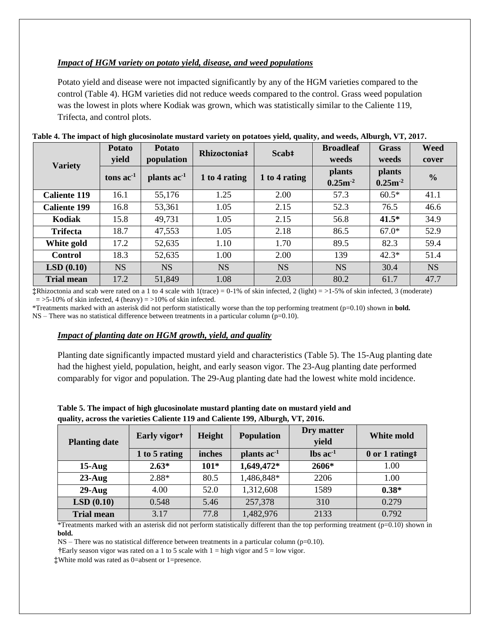## *Impact of HGM variety on potato yield, disease, and weed populations*

Potato yield and disease were not impacted significantly by any of the HGM varieties compared to the control (Table 4). HGM varieties did not reduce weeds compared to the control. Grass weed population was the lowest in plots where Kodiak was grown, which was statistically similar to the Caliente 119, Trifecta, and control plots.

|                     | <b>Potato</b> | <b>Potato</b>           | Rhizoctonia <sup>‡</sup> | Scab‡         | <b>Broadleaf</b> | <b>Grass</b>  | <b>Weed</b>   |
|---------------------|---------------|-------------------------|--------------------------|---------------|------------------|---------------|---------------|
| <b>Variety</b>      | yield         | population              |                          |               | weeds            | weeds         | cover         |
|                     | tons $ac-1$   | plants ac <sup>-1</sup> | 1 to 4 rating            | 1 to 4 rating | <b>plants</b>    | <b>plants</b> | $\frac{0}{0}$ |
|                     |               |                         |                          |               | $0.25m-2$        | $0.25m-2$     |               |
| <b>Caliente 119</b> | 16.1          | 55,176                  | 1.25                     | 2.00          | 57.3             | $60.5*$       | 41.1          |
| <b>Caliente 199</b> | 16.8          | 53,361                  | 1.05                     | 2.15          | 52.3             | 76.5          | 46.6          |
| Kodiak              | 15.8          | 49,731                  | 1.05                     | 2.15          | 56.8             | $41.5*$       | 34.9          |
| <b>Trifecta</b>     | 18.7          | 47,553                  | 1.05                     | 2.18          | 86.5             | $67.0*$       | 52.9          |
| White gold          | 17.2          | 52,635                  | 1.10                     | 1.70          | 89.5             | 82.3          | 59.4          |
| <b>Control</b>      | 18.3          | 52,635                  | 1.00                     | 2.00          | 139              | $42.3*$       | 51.4          |
| LSD(0.10)           | <b>NS</b>     | <b>NS</b>               | <b>NS</b>                | <b>NS</b>     | <b>NS</b>        | 30.4          | <b>NS</b>     |
| <b>Trial mean</b>   | 17.2          | 51,849                  | 1.08                     | 2.03          | 80.2             | 61.7          | 47.7          |

**‡**Rhizoctonia and scab were rated on a 1 to 4 scale with 1(trace) = 0-1% of skin infected, 2 (light) = >1-5% of skin infected, 3 (moderate)  $=$  >5-10% of skin infected, 4 (heavy)  $=$  >10% of skin infected.

\*Treatments marked with an asterisk did not perform statistically worse than the top performing treatment (p=0.10) shown in **bold.**   $NS$  – There was no statistical difference between treatments in a particular column (p=0.10).

#### *Impact of planting date on HGM growth, yield, and quality*

Planting date significantly impacted mustard yield and characteristics (Table 5). The 15-Aug planting date had the highest yield, population, height, and early season vigor. The 23-Aug planting date performed comparably for vigor and population. The 29-Aug planting date had the lowest white mold incidence.

| <b>Planting date</b> | Early vigort  | <b>Height</b> | <b>Population</b> | Dry matter<br>yield           | White mold    |
|----------------------|---------------|---------------|-------------------|-------------------------------|---------------|
|                      | 1 to 5 rating | inches        | plants $ac^{-1}$  | $\text{lbs}$ ac <sup>-1</sup> | 0 or 1 rating |
| $15$ -Aug            | $2.63*$       | $101*$        | 1,649,472*        | 2606*                         | 1.00          |
| $23$ -Aug            | 2.88*         | 80.5          | 1,486,848*        | 2206                          | 1.00          |
| $29-Au$ g            | 4.00          | 52.0          | 1,312,608         | 1589                          | $0.38*$       |
| LSD(0.10)            | 0.548         | 5.46          | 257,378           | 310                           | 0.279         |
| <b>Trial mean</b>    | 3.17          | 77.8          | 1,482,976         | 2133                          | 0.792         |

**Table 5. The impact of high glucosinolate mustard planting date on mustard yield and quality, across the varieties Caliente 119 and Caliente 199, Alburgh, VT, 2016.** 

\*Treatments marked with an asterisk did not perform statistically different than the top performing treatment (p=0.10) shown in **bold.** 

 $NS$  – There was no statistical difference between treatments in a particular column (p=0.10).

 **†**Early season vigor was rated on a 1 to 5 scale with 1 = high vigor and 5 = low vigor.

**‡**White mold was rated as 0=absent or 1=presence.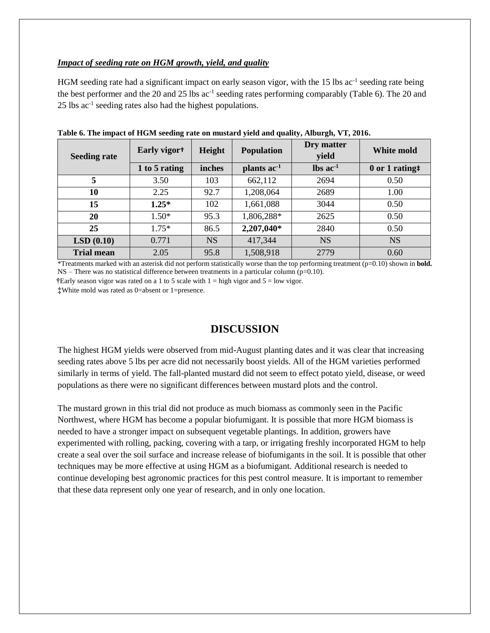#### *Impact of seeding rate on HGM growth, yield, and quality*

HGM seeding rate had a significant impact on early season vigor, with the 15 lbs ac<sup>-1</sup> seeding rate being the best performer and the 20 and 25 lbs ac<sup>-1</sup> seeding rates performing comparably (Table 6). The 20 and  $25$  lbs  $ac^{-1}$  seeding rates also had the highest populations.

| <b>Seeding rate</b> | Early vigor <sup>+</sup> | Height    | <b>Population</b>       | Dry matter<br>yield           | White mold     |
|---------------------|--------------------------|-----------|-------------------------|-------------------------------|----------------|
|                     | 1 to 5 rating            | inches    | plants ac <sup>-1</sup> | $\text{lbs}$ ac <sup>-1</sup> | 0 or 1 rating# |
| 5                   | 3.50                     | 103       | 662,112                 | 2694                          | 0.50           |
| 10                  | 2.25                     | 92.7      | 1,208,064               | 2689                          | 1.00           |
| 15                  | $1.25*$                  | 102       | 1,661,088               | 3044                          | 0.50           |
| 20                  | $1.50*$                  | 95.3      | 1,806,288*              | 2625                          | 0.50           |
| 25                  | $1.75*$                  | 86.5      | 2,207,040*              | 2840                          | 0.50           |
| LSD(0.10)           | 0.771                    | <b>NS</b> | 417,344                 | <b>NS</b>                     | <b>NS</b>      |
| <b>Trial mean</b>   | 2.05                     | 95.8      | 1,508,918               | 2779                          | 0.60           |

**Table 6. The impact of HGM seeding rate on mustard yield and quality, Alburgh, VT, 2016.** 

\*Treatments marked with an asterisk did not perform statistically worse than the top performing treatment (p=0.10) shown in **bold.**  NS – There was no statistical difference between treatments in a particular column (p=0.10).

**†**Early season vigor was rated on a 1 to 5 scale with 1 = high vigor and 5 = low vigor. **‡**White mold was rated as 0=absent or 1=presence.

## **DISCUSSION**

The highest HGM yields were observed from mid-August planting dates and it was clear that increasing seeding rates above 5 lbs per acre did not necessarily boost yields. All of the HGM varieties performed similarly in terms of yield. The fall-planted mustard did not seem to effect potato yield, disease, or weed populations as there were no significant differences between mustard plots and the control.

The mustard grown in this trial did not produce as much biomass as commonly seen in the Pacific Northwest, where HGM has become a popular biofumigant. It is possible that more HGM biomass is needed to have a stronger impact on subsequent vegetable plantings. In addition, growers have experimented with rolling, packing, covering with a tarp, or irrigating freshly incorporated HGM to help create a seal over the soil surface and increase release of biofumigants in the soil. It is possible that other techniques may be more effective at using HGM as a biofumigant. Additional research is needed to continue developing best agronomic practices for this pest control measure. It is important to remember that these data represent only one year of research, and in only one location.